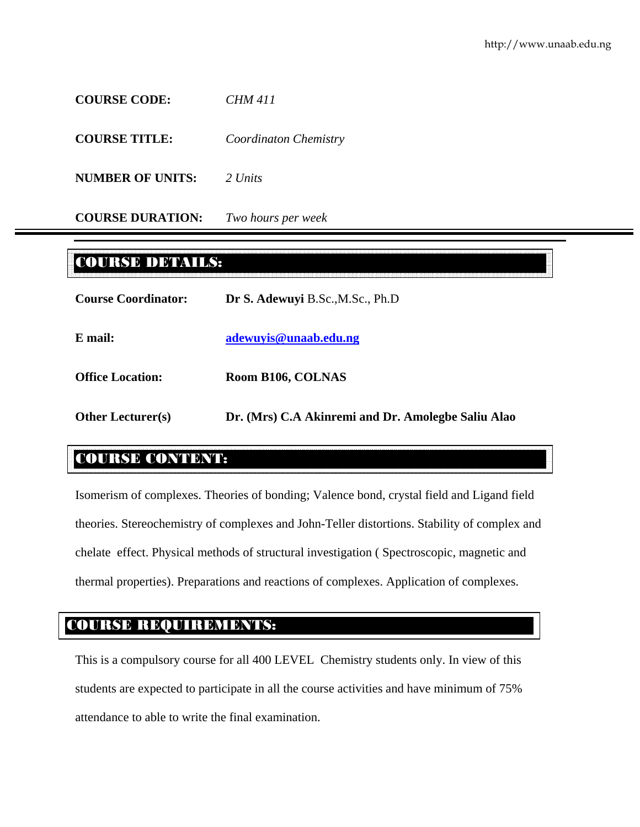**COURSE CODE:** *CHM 411* 

**COURSE TITLE:** *Coordinaton Chemistry*

**NUMBER OF UNITS:** *2 Units*

**COURSE DURATION:** *Two hours per week*

# COURSE DETAILS:

| <b>Course Coordinator:</b> | Dr S. Adewuyi B.Sc., M.Sc., Ph.D                   |  |  |
|----------------------------|----------------------------------------------------|--|--|
| E mail:                    | adewuyis@unaab.edu.ng                              |  |  |
| <b>Office Location:</b>    | Room B106, COLNAS                                  |  |  |
| <b>Other Lecturer(s)</b>   | Dr. (Mrs) C.A Akinremi and Dr. Amolegbe Saliu Alao |  |  |

# COURSE CONTENT:

Isomerism of complexes. Theories of bonding; Valence bond, crystal field and Ligand field theories. Stereochemistry of complexes and John-Teller distortions. Stability of complex and chelate effect. Physical methods of structural investigation ( Spectroscopic, magnetic and thermal properties). Preparations and reactions of complexes. Application of complexes.

# COURSE REQUIREMENTS:

This is a compulsory course for all 400 LEVEL Chemistry students only. In view of this students are expected to participate in all the course activities and have minimum of 75% attendance to able to write the final examination.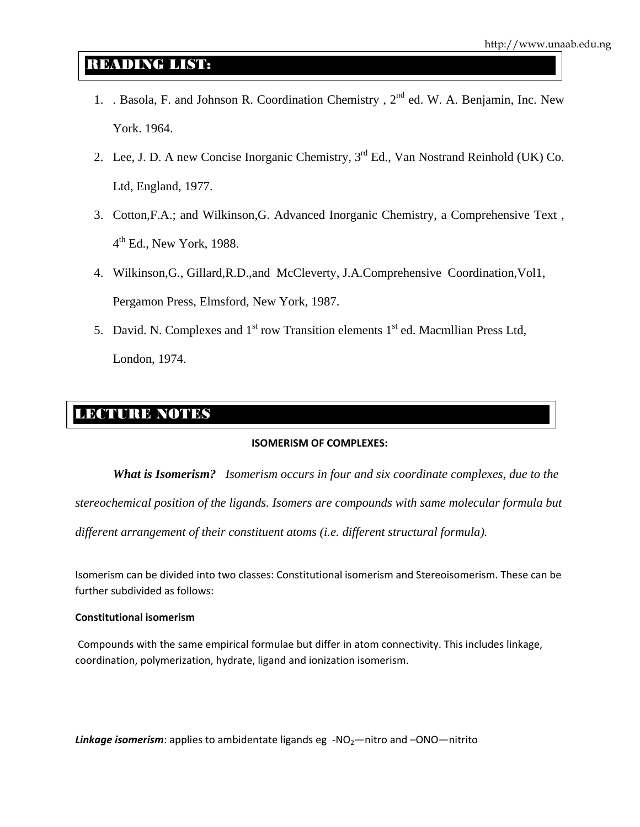# READING LIST:

- 1. . Basola, F. and Johnson R. Coordination Chemistry, 2<sup>nd</sup> ed. W. A. Benjamin, Inc. New York. 1964.
- 2. Lee, J. D. A new Concise Inorganic Chemistry, 3<sup>rd</sup> Ed., Van Nostrand Reinhold (UK) Co. Ltd, England, 1977.
- 3. Cotton,F.A.; and Wilkinson,G. Advanced Inorganic Chemistry, a Comprehensive Text ,  $4<sup>th</sup>$  Ed., New York, 1988.
- 4. Wilkinson,G., Gillard,R.D.,and McCleverty, J.A.Comprehensive Coordination,Vol1, Pergamon Press, Elmsford, New York, 1987.
- 5. David. N. Complexes and  $1<sup>st</sup>$  row Transition elements  $1<sup>st</sup>$  ed. Macmillian Press Ltd, London, 1974.

# LECTURE NOTES

## **ISOMERISM OF COMPLEXES:**

*What is Isomerism? Isomerism occurs in four and six coordinate complexes, due to the stereochemical position of the ligands. Isomers are compounds with same molecular formula but different arrangement of their constituent atoms (i.e. different structural formula).* 

Isomerism can be divided into two classes: Constitutional isomerism and Stereoisomerism. These can be further subdivided as follows:

### **Constitutional isomerism**

Compounds with the same empirical formulae but differ in atom connectivity. This includes linkage, coordination, polymerization, hydrate, ligand and ionization isomerism.

Linkage *isomerism*: applies to ambidentate ligands eg -NO<sub>2</sub>—nitro and -ONO—nitrito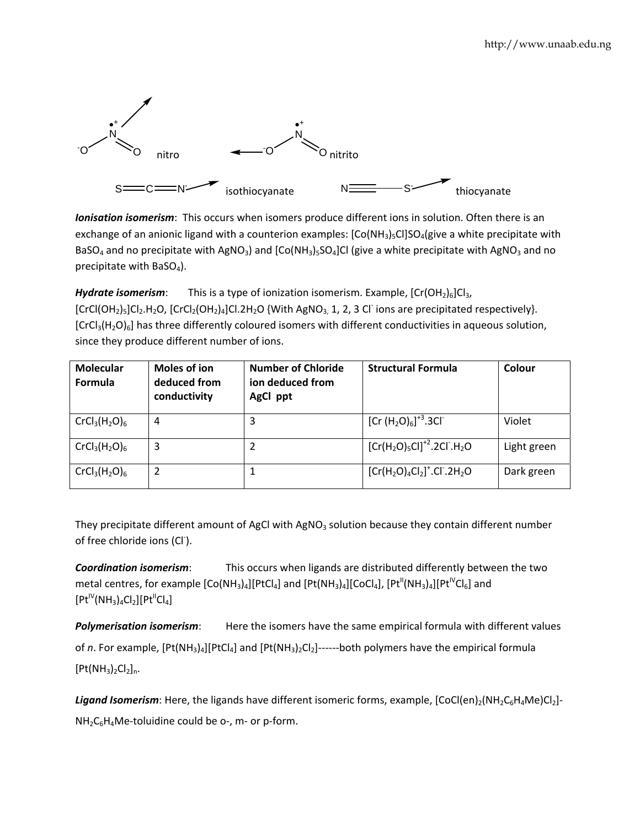

*Ionisation isomerism*: This occurs when isomers produce different ions in solution. Often there is an exchange of an anionic ligand with a counterion examples:  $[Co(NH<sub>3</sub>)<sub>5</sub>Cl]SO<sub>4</sub>(give a white precipitate with$ BaSO<sub>4</sub> and no precipitate with AgNO<sub>3</sub>) and [Co(NH<sub>3</sub>)<sub>5</sub>SO<sub>4</sub>]Cl (give a white precipitate with AgNO<sub>3</sub> and no precipitate with BaSO<sub>4</sub>).

*Hydrate isomerism*: This is a type of ionization isomerism. Example,  $[Cr(OH<sub>2</sub>)<sub>6</sub>]Cl<sub>3</sub>$ , [CrCl(OH<sub>2</sub>)<sub>5</sub>]Cl<sub>2</sub>.H<sub>2</sub>O, [CrCl<sub>2</sub>(OH<sub>2</sub>)<sub>4</sub>]Cl.2H<sub>2</sub>O {With AgNO<sub>3,</sub> 1, 2, 3 Cl<sup>-</sup> ions are precipitated respectively}.  $[CrCl<sub>3</sub>(H<sub>2</sub>O)<sub>6</sub>]$  has three differently coloured isomers with different conductivities in aqueous solution, since they produce different number of ions.

| <b>Molecular</b><br>Formula | Moles of ion<br>deduced from<br>conductivity | <b>Number of Chloride</b><br>ion deduced from<br>AgCl ppt | <b>Structural Formula</b> | Colour      |
|-----------------------------|----------------------------------------------|-----------------------------------------------------------|---------------------------|-------------|
| $CrCl3(H2O)6$               | 4                                            | 3                                                         | $[Cr (H2O)6]+3.3Cl-$      | Violet      |
| $CrCl3(H2O)6$               | 3                                            | 2                                                         | $[Cr(H2O)5Cl]+2.2Cl-.H2O$ | Light green |
| $CrCl3(H2O)6$               | 2                                            |                                                           | $[Cr(H2O)4Cl2]+.Cl-.2H2O$ | Dark green  |

They precipitate different amount of AgCl with AgNO<sub>3</sub> solution because they contain different number of free chloride ions (Cl<sup>-</sup>).

*Coordination isomerism*: This occurs when ligands are distributed differently between the two metal centres, for example  $[Co(NH_3)_4][PtCl_4]$  and  $[Pt(NH_3)_4][CoCl_4]$ ,  $[Pt^{II}(NH_3)_4][Pt^{IV}Cl_6]$  and  $[Pt^{IV}(NH_3)_4Cl_2][Pt^{II}Cl_4]$ 

*Polymerisation isomerism*: Here the isomers have the same empirical formula with different values of *n*. For example,  $[Pt(NH<sub>3</sub>)<sub>4</sub>][PtCl<sub>4</sub>]$  and  $[Pt(NH<sub>3</sub>)<sub>2</sub>Cl<sub>2</sub>]----both$  polymers have the empirical formula  $[Pt(NH_3)_2Cl_2]_n.$ 

**Ligand Isomerism**: Here, the ligands have different isomeric forms, example,  $[CoCl(en)_2(NH_2C_6H_4Me)Cl_2]$ - $NH<sub>2</sub>C<sub>6</sub>H<sub>4</sub>Me-toluidine could be 0-$ , m- or p-form.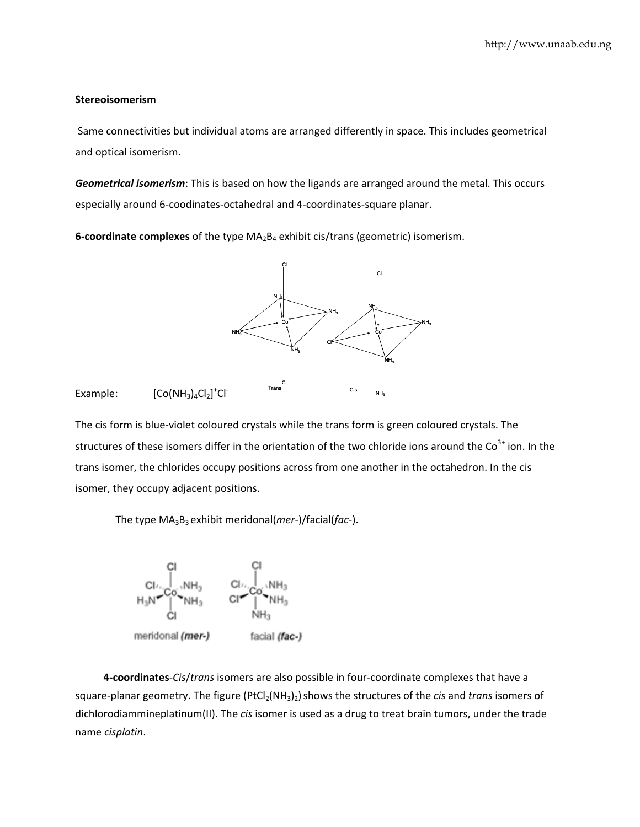### **Stereoisomerism**

Same connectivities but individual atoms are arranged differently in space. This includes geometrical and optical isomerism.

Geometrical isomerism: This is based on how the ligands are arranged around the metal. This occurs especially around 6-coodinates-octahedral and 4-coordinates-square planar.

**6-coordinate complexes** of the type  $MA_2B_4$  exhibit cis/trans (geometric) isomerism.



Example:  $[CO(NH_3)_4Cl_2]^+Cl^-$ 

The cis form is blue-violet coloured crystals while the trans form is green coloured crystals. The structures of these isomers differ in the orientation of the two chloride ions around the  $\text{Co}^{3+}$  ion. In the trans isomer, the chlorides occupy positions across from one another in the octahedron. In the cis isomer, they occupy adjacent positions.

The type  $MA_3B_3$  exhibit meridonal(*mer-*)/facial(*fac-*).



4-coordinates-Cis/trans isomers are also possible in four-coordinate complexes that have a square-planar geometry. The figure (PtCl<sub>2</sub>(NH<sub>3</sub>)<sub>2</sub>) shows the structures of the *cis* and *trans* isomers of dichlorodiammineplatinum(II). The cis isomer is used as a drug to treat brain tumors, under the trade name cisplatin.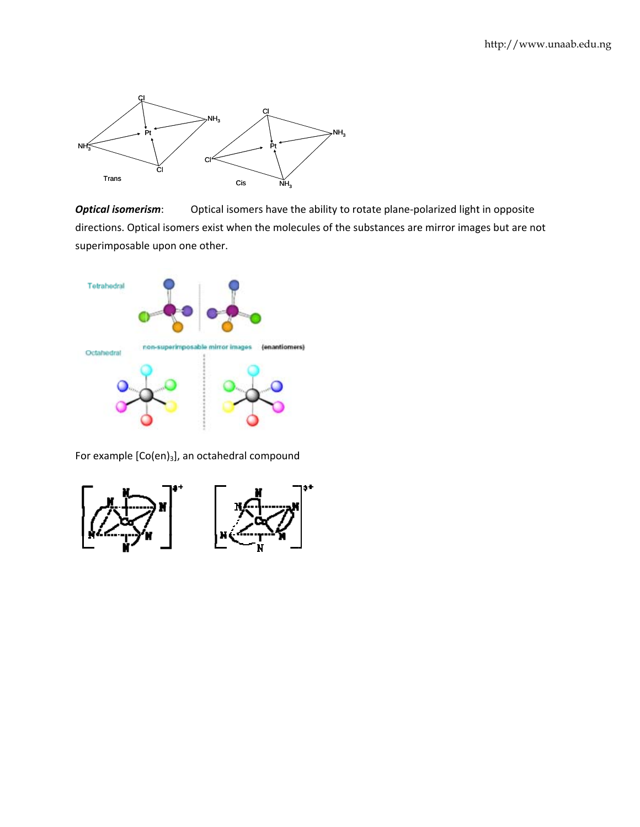

Optical isomers have the ability to rotate plane-polarized light in opposite **Optical isomerism:** directions. Optical isomers exist when the molecules of the substances are mirror images but are not superimposable upon one other.



For example [Co(en)<sub>3</sub>], an octahedral compound

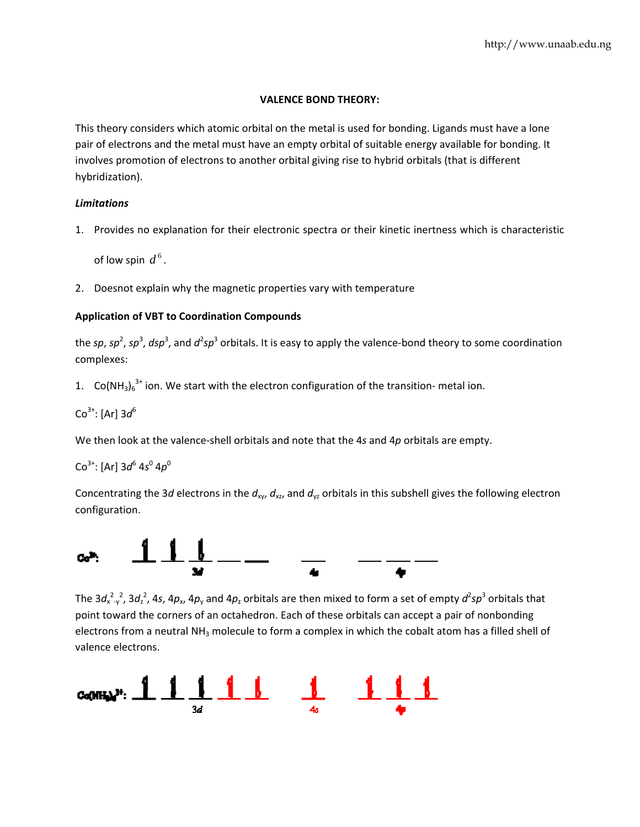### **VALENCE BOND THEORY:**

This theory considers which atomic orbital on the metal is used for bonding. Ligands must have a lone pair of electrons and the metal must have an empty orbital of suitable energy available for bonding. It involves promotion of electrons to another orbital giving rise to hybrid orbitals (that is different hybridization).

### **Limitations**

1. Provides no explanation for their electronic spectra or their kinetic inertness which is characteristic

of low spin  $d^6$ .

2. Doesnot explain why the magnetic properties vary with temperature

## **Application of VBT to Coordination Compounds**

the sp, sp<sup>2</sup>, sp<sup>3</sup>, dsp<sup>3</sup>, and  $d^2sp^3$  orbitals. It is easy to apply the valence-bond theory to some coordination complexes:

1.  $Co(NH_3)_6^{3+}$  ion. We start with the electron configuration of the transition- metal ion.

$$
\text{Co}^{3+}\text{: [Ar]} 3d^6
$$

We then look at the valence-shell orbitals and note that the 4s and 4p orbitals are empty.

# $Co^{3+}$ : [Ar]  $3d^{6}$   $4s^{0}$   $4p^{0}$

Concentrating the 3d electrons in the  $d_{xy}$ ,  $d_{xz}$ , and  $d_{yz}$  orbitals in this subshell gives the following electron configuration.



The  $3d_{x-y}^{2}$ ,  $3d_{z}^{2}$ , 4s, 4p<sub>x</sub>, 4p<sub>v</sub> and 4p<sub>z</sub> orbitals are then mixed to form a set of empty  $d^{2}sp^{3}$  orbitals that point toward the corners of an octahedron. Each of these orbitals can accept a pair of nonbonding electrons from a neutral NH<sub>3</sub> molecule to form a complex in which the cobalt atom has a filled shell of valence electrons.

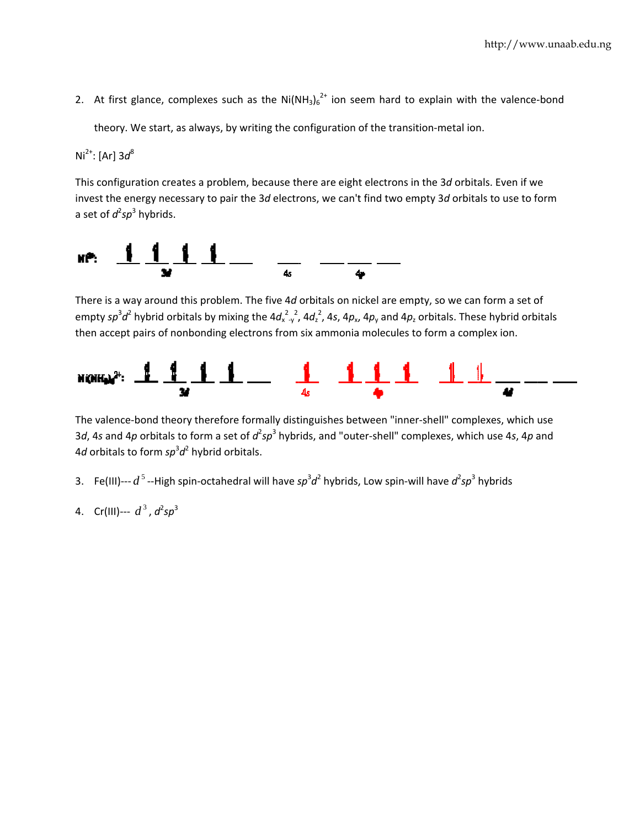2. At first glance, complexes such as the  $Ni(NH_3)_6^{2+}$  ion seem hard to explain with the valence-bond

theory. We start, as always, by writing the configuration of the transition-metal ion.

 $Ni^{2+}$ : [Ar]  $3d^{8}$ 

This configuration creates a problem, because there are eight electrons in the 3d orbitals. Even if we invest the energy necessary to pair the 3d electrons, we can't find two empty 3d orbitals to use to form a set of  $d^2sp^3$  hybrids.



There is a way around this problem. The five 4d orbitals on nickel are empty, so we can form a set of empty  $sp^3d^2$  hybrid orbitals by mixing the  $4d_{x-y}^2$ ,  $4d_z^2$ ,  $4s$ ,  $4p_x$ ,  $4p_y$  and  $4p_z$  orbitals. These hybrid orbitals then accept pairs of nonbonding electrons from six ammonia molecules to form a complex ion.



The valence-bond theory therefore formally distinguishes between "inner-shell" complexes, which use 3d, 4s and 4p orbitals to form a set of  $d^2sp^3$  hybrids, and "outer-shell" complexes, which use 4s, 4p and 4d orbitals to form  $sp^3d^2$  hybrid orbitals.

- 3. Fe(III)---  $d^5$  --High spin-octahedral will have  $sp^3d^2$  hybrids, Low spin-will have  $d^2sp^3$  hybrids
- 4. Cr(III)---  $d^3$ ,  $d^2sp^3$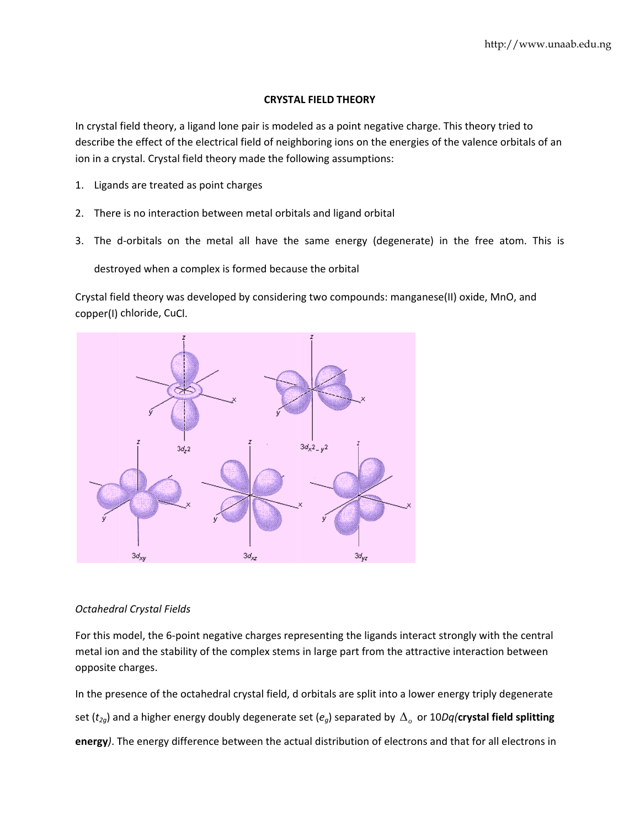### **CRYSTAL FIELD THEORY**

In crystal field theory, a ligand lone pair is modeled as a point negative charge. This theory tried to describe the effect of the electrical field of neighboring ions on the energies of the valence orbitals of an ion in a crystal. Crystal field theory made the following assumptions:

- 1. Ligands are treated as point charges
- 2. There is no interaction between metal orbitals and ligand orbital
- 3. The d-orbitals on the metal all have the same energy (degenerate) in the free atom. This is

destroyed when a complex is formed because the orbital

Crystal field theory was developed by considering two compounds: manganese(II) oxide, MnO, and copper(I) chloride, CuCl.



## **Octahedral Crystal Fields**

For this model, the 6-point negative charges representing the ligands interact strongly with the central metal ion and the stability of the complex stems in large part from the attractive interaction between opposite charges.

In the presence of the octahedral crystal field, d orbitals are split into a lower energy triply degenerate set ( $t_{2g}$ ) and a higher energy doubly degenerate set ( $e_g$ ) separated by  $\Delta_g$  or 10Dq(crystal field splitting energy). The energy difference between the actual distribution of electrons and that for all electrons in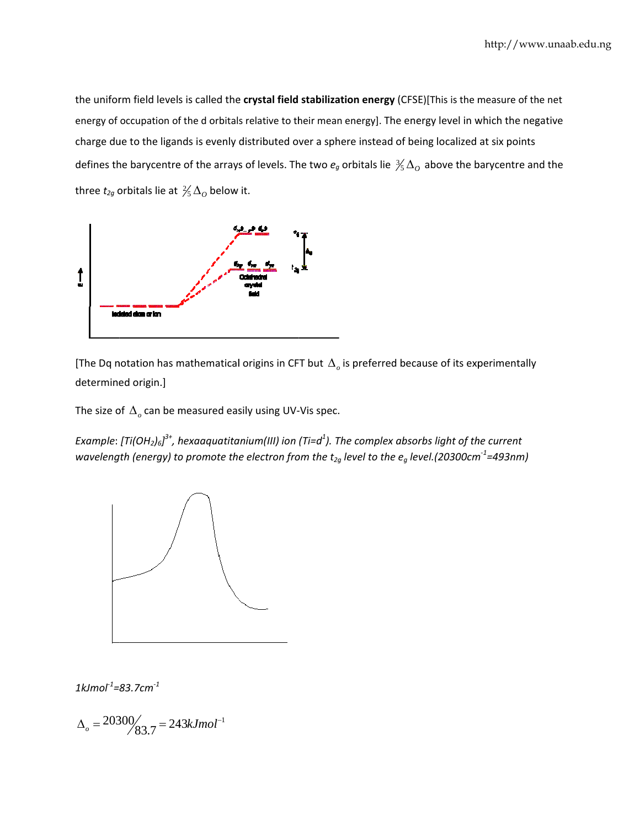the uniform field levels is called the **crystal field stabilization energy** (CFSE)[This is the measure of the net energy of occupation of the d orbitals relative to their mean energy]. The energy level in which the negative charge due to the ligands is evenly distributed over a sphere instead of being localized at six points defines the barycentre of the arrays of levels. The two  $e_g$  orbitals lie  $\frac{3}{5}\Delta_o$  above the barycentre and the three  $t_{2g}$  orbitals lie at  $\frac{2}{5}\Delta_{O}$  below it.



[The Dq notation has mathematical origins in CFT but  $\Delta_{\rho}$  is preferred because of its experimentally determined origin.]

The size of  $\Delta_o$  can be measured easily using UV-Vis spec.

Example: [Ti(OH $_2$ ) $_6$ ] $^3{\scriptstyle\texttt{+}}$ , hexaaquatitanium(III) ion (Ti=d $^4$ ). The complex absorbs light of the current wavelength (energy) to promote the electron from the t $_{2g}$  level to the  $e_g$  level.(20300cm $^{\text{-}1}$ =493nm)



*1kJmol‐<sup>1</sup> = 83.7cm‐<sup>1</sup>*

 $\Delta_{\rho} = 20300 / 83.7 = 243 k J mol^{-1}$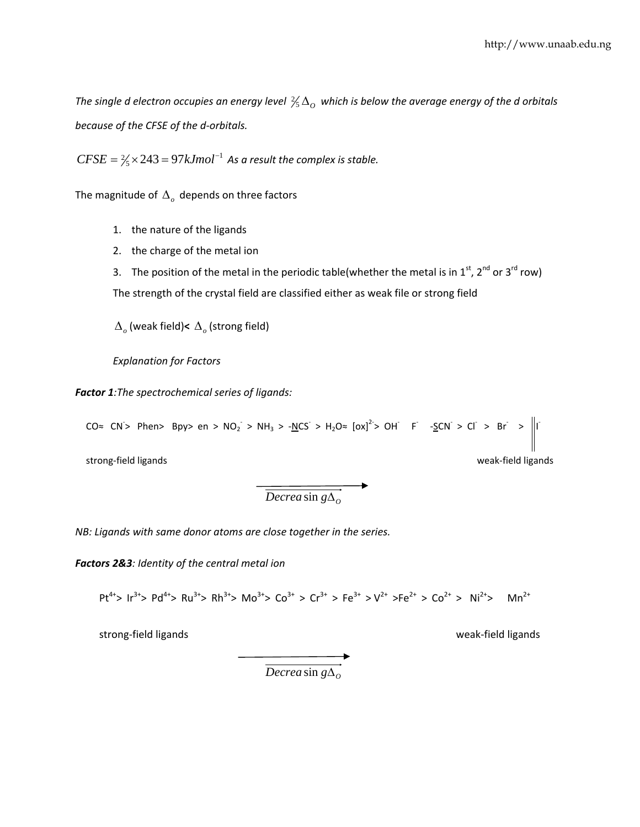The single d electron occupies an energy level  $\frac{2}{5}\Delta_{O}$  which is below the average energy of the d orbitals *because of the CFSE of the d‐orbitals.*

 $CFSE = \frac{2}{5} \times 243 = 97 kJmol^{-1}$  As a result the complex is stable.

The magnitude of Δ*<sup>o</sup>* depends on three factors

- 1. the nature of the ligands
- 2. the charge of the metal ion
- 3. The position of the metal in the periodic table(whether the metal is in  $1^{st}$ ,  $2^{nd}$  or  $3^{rd}$  row)

The strength of the crystal field are classified either as weak file or strong field

Δ*<sup>o</sup>* (weak field)**<** Δ*<sup>o</sup>* (strong field)

*Explanation for Factors*

*Factor 1:The spectrochemical series of ligands:*

CO≈ CN> Phen> Bpy> en > NO<sub>2</sub> > NH<sub>3</sub> > -<u>N</u>CS > H<sub>2</sub>O≈ [ox]<sup>2-</sup>> OH F -<u>S</u>CN > Cl > Br > ||I

strong‐field ligands **because and the strong**‐field ligands and the strong‐field ligands and the strong strong me

 $\overrightarrow{Decreasin g\Delta_o}$ 

*NB: Ligands with same donor atoms are close together in the series.*

*Factors 2&3: Identity of the central metal ion*

 $Pt^{4+}$ >  $Ir^{3+}$ >  $Pd^{4+}$ >  $Ru^{3+}$ >  $Rh^{3+}$ >  $Mo^{3+}$ >  $Co^{3+}$  >  $Cr^{3+}$  >  $Fe^{3+}$  >  $V^{2+}$  > $Fe^{2+}$  >  $Co^{2+}$  >  $Ni^{2+}$  Mn<sup>2+</sup>

strong‐field ligands weak‐field ligands

 $\overrightarrow{Decrea \sin g\Delta_0}$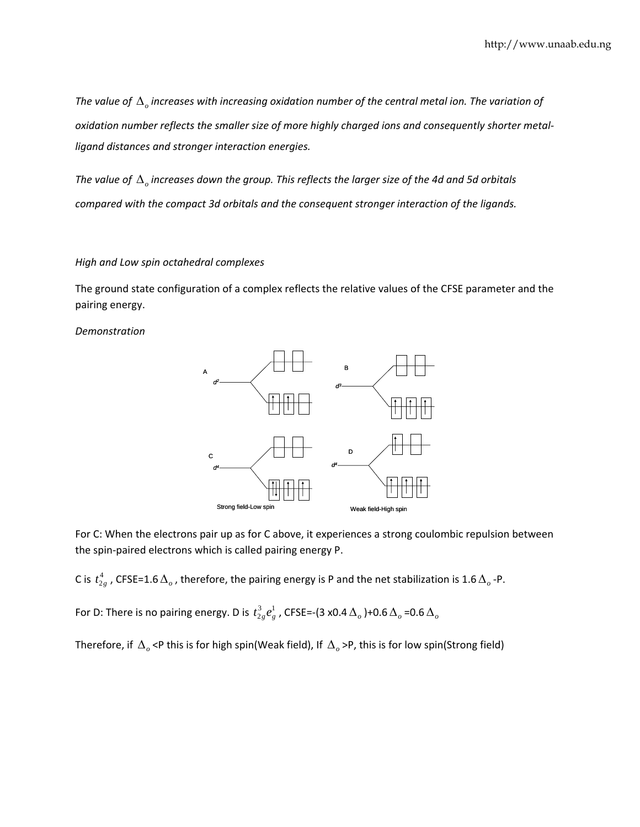*The value of* Δ*<sup>o</sup> increases with increasing oxidation number of the central metal ion. The variation of oxidation number reflects the smaller size of more highly charged ions and consequently shorter metal‐ ligand distances and stronger interaction energies.*

The value of  $\Delta$  increases down the group. This reflects the larger size of the 4d and 5d orbitals *compared with the compact 3d orbitals and the consequent stronger interaction of the ligands.*

### *High and Low spin octahedral complexes*

The ground state configuration of a complex reflects the relative values of the CFSE parameter and the pairing energy.

*Demonstration*



For C: When the electrons pair up as for C above, it experiences a strong coulombic repulsion between the spin‐paired electrons which is called pairing energy P.

C is  $t^4_{2g}$  , CFSE=1.6 $\Delta_o$ , therefore, the pairing energy is P and the net stabilization is 1.6 $\Delta_o$ -P.

For D: There is no pairing energy. D is  $t_{2g}^3 e^1_{g}$  , CFSE=-(3 x0.4  $\Delta_o$  )+0.6  $\Delta_o$  =0.6  $\Delta_o$ 

Therefore, if Δ*<sup>o</sup>* <P this is for high spin(Weak field), If Δ*<sup>o</sup>* >P, this is for low spin(Strong field)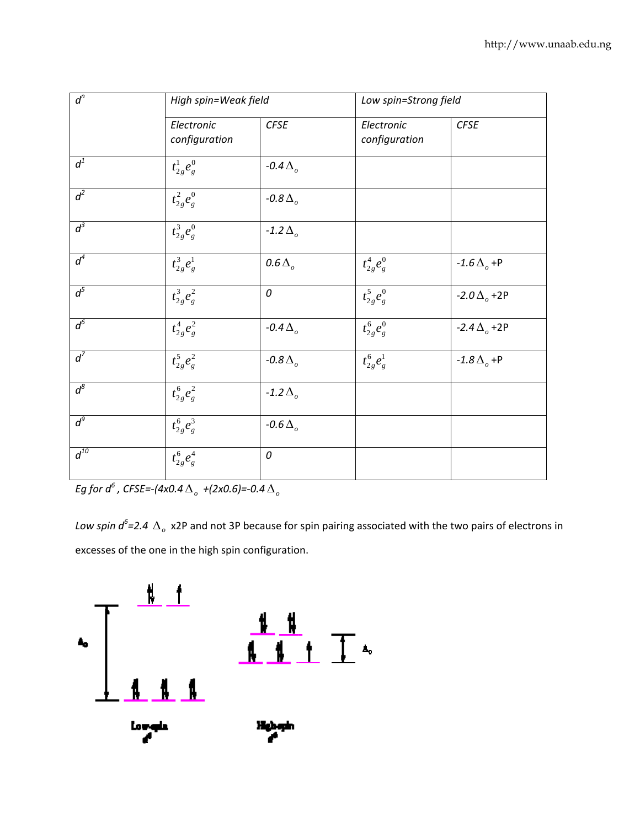| $d^n$    | High spin=Weak field        |                           | Low spin=Strong field       |                              |
|----------|-----------------------------|---------------------------|-----------------------------|------------------------------|
|          | Electronic<br>configuration | CFSE                      | Electronic<br>configuration | <b>CFSE</b>                  |
| $d^1$    | $t_{2g}^1e_g^0$             | $-0.4\Delta$ <sub>o</sub> |                             |                              |
| $d^2$    | $t_{2g}^{2}e_{g}^{0}$       | $-0.8\Delta$ <sub>o</sub> |                             |                              |
| $d^3$    | $t_{2g}^{3}e_{g}^{0}$       | $-1.2\Delta$ <sub>o</sub> |                             |                              |
| $d^4$    | $t_{2g}^{3}e_{g}^{1}$       | $0.6\Delta$ <sub>o</sub>  | $t_{2g}^{4}e_{g}^{0}$       | $-1.6\Delta$ <sub>o</sub> +P |
| $d^5$    | $t_{2g}^3e_g^2$             | 0                         | $t_{2g}^{5}e_{g}^{0}$       | $-2.0\,\Delta_{0}$ +2P       |
| $d^6$    | $t_{2g}^{4}e_{g}^{2}$       | $-0.4\Delta$ <sub>o</sub> | $t_{2g}^{6}e_{g}^{0}$       | $-2.4\Delta_{o}$ +2P         |
| $d^7$    | $t_{2g}^5 e_{g}^2$          | $-0.8\Delta$ <sub>o</sub> | $t_{2g}^{6}e_{g}^{1}$       | $-1.8\Delta_{0}$ +P          |
| $d^8$    | $t_{2g}^{6}e_{g}^{2}$       | $-1.2\Delta$ <sub>o</sub> |                             |                              |
| $d^9$    | $t_{2g}^{6}e_{g}^{3}$       | $-0.6\Delta$ <sub>o</sub> |                             |                              |
| $d^{10}$ | $t_{2g}^{6}e_{g}^{4}$       | 0                         |                             |                              |

Eg for  $d^6$  , CFSE=-(4x0.4  $\Delta$ <sub>o</sub> +(2x0.6)=-0.4  $\Delta$ <sub>o</sub>

Low spin  $d^6$ =2.4  $\Delta_o$  x2P and not 3P because for spin pairing associated with the two pairs of electrons in excesses of the one in the high spin configuration.

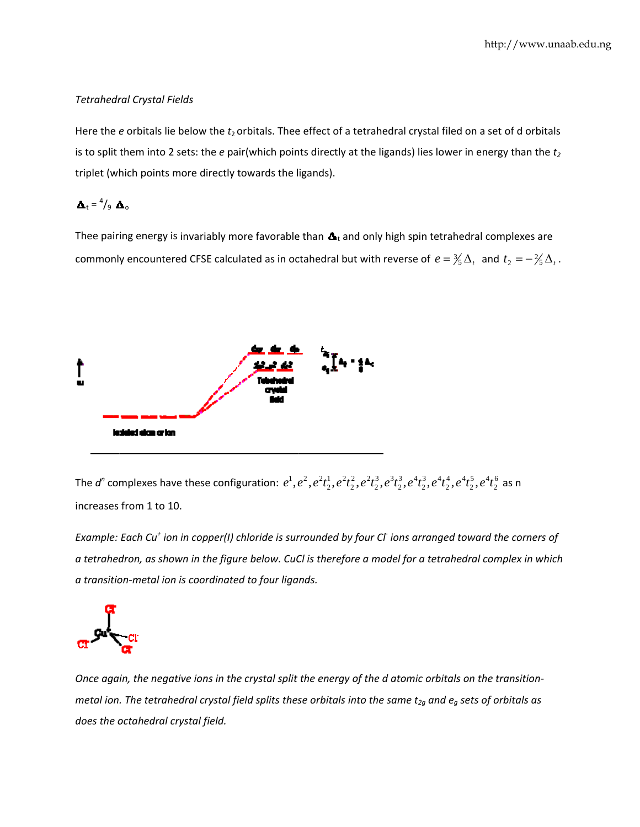### **Tetrahedral Crystal Fields**

Here the  $e$  orbitals lie below the  $t_2$  orbitals. Thee effect of a tetrahedral crystal filed on a set of d orbitals is to split them into 2 sets: the  $e$  pair(which points directly at the ligands) lies lower in energy than the  $t_2$ triplet (which points more directly towards the ligands).

 $\Delta_t = \frac{4}{9} \Delta_0$ 

Thee pairing energy is invariably more favorable than  $\Delta_t$  and only high spin tetrahedral complexes are commonly encountered CFSE calculated as in octahedral but with reverse of  $e = \frac{3}{5}\Delta_t$  and  $t_2 = -\frac{2}{5}\Delta_t$ .



The d<sup>n</sup> complexes have these configuration:  $e^1, e^2, e^2t_2^1, e^2t_2^2, e^2t_2^3, e^3t_2^3, e^4t_2^3, e^4t_2^4, e^4t_2^5, e^4t_2^6$  as n increases from 1 to 10.

Example: Each Cu<sup>+</sup> ion in copper(I) chloride is surrounded by four Cl ions arranged toward the corners of a tetrahedron, as shown in the figure below. CuCl is therefore a model for a tetrahedral complex in which a transition-metal ion is coordinated to four ligands.



Once again, the negative ions in the crystal split the energy of the d atomic orbitals on the transitionmetal ion. The tetrahedral crystal field splits these orbitals into the same  $t_{2g}$  and  $e_g$  sets of orbitals as does the octahedral crystal field.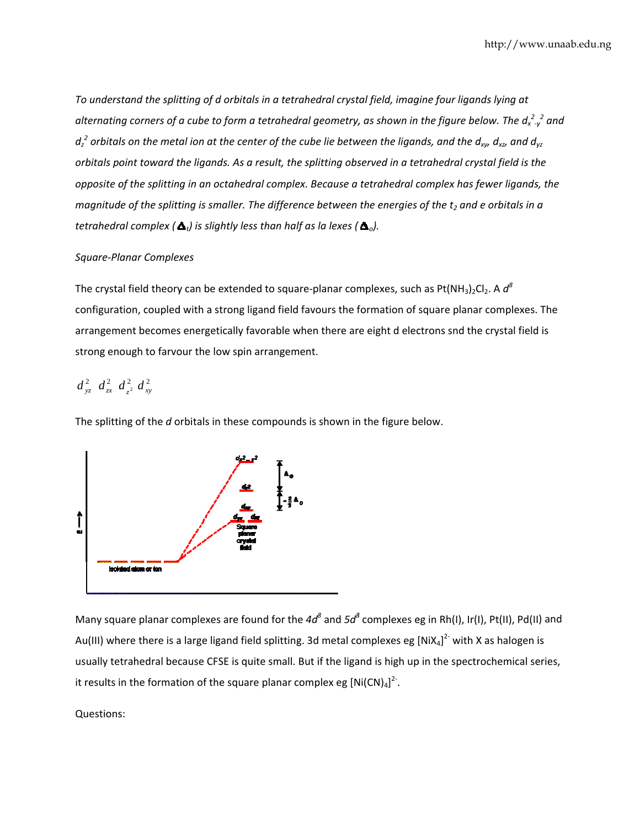To understand the splitting of d orbitals in a tetrahedral crystal field, imagine four ligands lying at alternating corners of a cube to form a tetrahedral geometry, as shown in the figure below. The  $d_{x-y}^{2}$  and  $d_z^2$  orbitals on the metal ion at the center of the cube lie between the ligands, and the  $d_{xy}$ ,  $d_{xz}$  and  $d_{yz}$ orbitals point toward the ligands. As a result, the splitting observed in a tetrahedral crystal field is the opposite of the splitting in an octahedral complex. Because a tetrahedral complex has fewer ligands, the magnitude of the splitting is smaller. The difference between the energies of the  $t_2$  and e orbitals in a tetrahedral complex ( $\Delta_t$ ) is slightly less than half as la lexes ( $\Delta_0$ ).

### **Square-Planar Complexes**

The crystal field theory can be extended to square-planar complexes, such as Pt(NH<sub>3</sub>)<sub>2</sub>Cl<sub>2</sub>. A  $d^8$ configuration, coupled with a strong ligand field favours the formation of square planar complexes. The arrangement becomes energetically favorable when there are eight d electrons snd the crystal field is strong enough to farvour the low spin arrangement.

# $d_{yz}^2$   $d_{zx}^2$   $d_{z^2}^2$   $d_{xy}^2$

The splitting of the d orbitals in these compounds is shown in the figure below.



Many square planar complexes are found for the  $4d^8$  and  $5d^8$  complexes eg in Rh(I), Ir(I), Pt(II), Pd(II) and Au(III) where there is a large ligand field splitting. 3d metal complexes eg  $[NiX_4]^2$  with X as halogen is usually tetrahedral because CFSE is quite small. But if the ligand is high up in the spectrochemical series, it results in the formation of the square planar complex eg  $[Ni(CN)<sub>4</sub>]^{2}$ .

## Questions: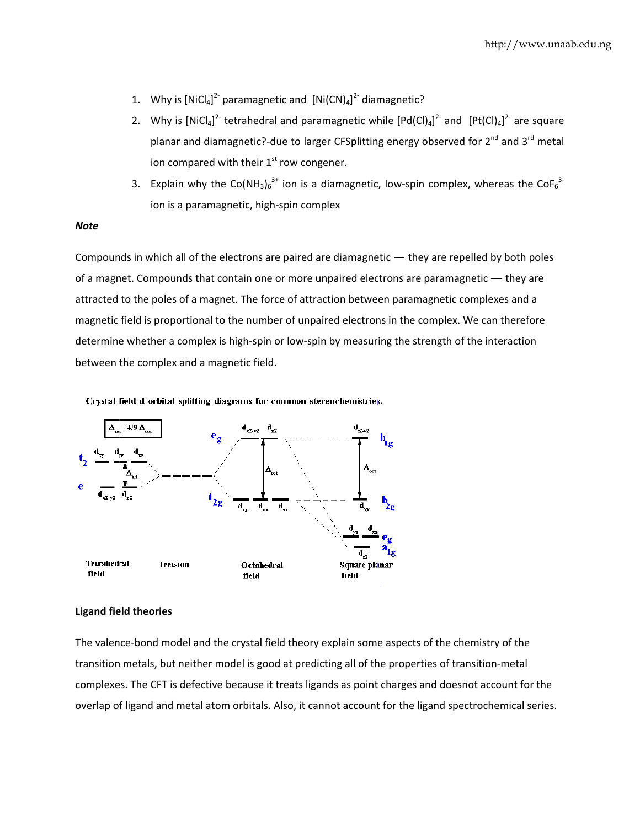- 1. Why is  $[NiCl_4]^2$  paramagnetic and  $[Ni(CN)_4]^2$  diamagnetic?
- 2. Why is  $[NiCl_4]^2$  tetrahedral and paramagnetic while  $[Pd(Cl)_4]^2$  and  $[Pt(Cl)_4]^2$  are square planar and diamagnetic?-due to larger CFSplitting energy observed for 2<sup>nd</sup> and 3<sup>rd</sup> metal ion compared with their 1<sup>st</sup> row congener.
- 3. Explain why the Co(NH<sub>3</sub>)<sub>6</sub><sup>3+</sup> ion is a diamagnetic, low-spin complex, whereas the CoF<sub>6</sub><sup>3-</sup> ion is a paramagnetic, high-spin complex

#### **Note**

Compounds in which all of the electrons are paired are diamagnetic  $-$  they are repelled by both poles of a magnet. Compounds that contain one or more unpaired electrons are paramagnetic — they are attracted to the poles of a magnet. The force of attraction between paramagnetic complexes and a magnetic field is proportional to the number of unpaired electrons in the complex. We can therefore determine whether a complex is high-spin or low-spin by measuring the strength of the interaction between the complex and a magnetic field.

Crystal field d orbital splitting diagrams for common stereochemistries.



#### **Ligand field theories**

The valence-bond model and the crystal field theory explain some aspects of the chemistry of the transition metals, but neither model is good at predicting all of the properties of transition-metal complexes. The CFT is defective because it treats ligands as point charges and doesnot account for the overlap of ligand and metal atom orbitals. Also, it cannot account for the ligand spectrochemical series.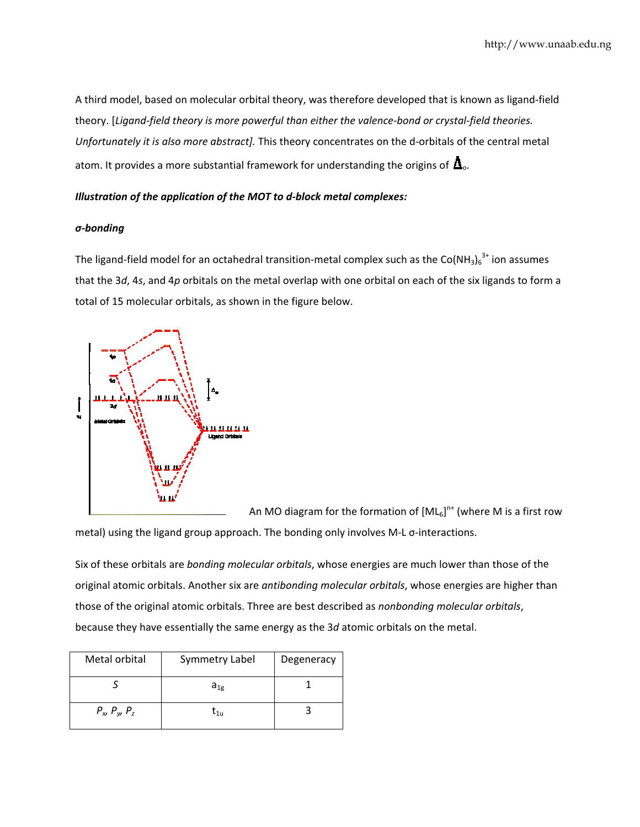A third model, based on molecular orbital theory, was therefore developed that is known as ligand-field theory. [Ligand-field theory is more powerful than either the valence-bond or crystal-field theories. Unfortunately it is also more abstract]. This theory concentrates on the d-orbitals of the central metal atom. It provides a more substantial framework for understanding the origins of  $\Delta_{o}$ .

### Illustration of the application of the MOT to d-block metal complexes:

### $\sigma$ -bonding

The ligand-field model for an octahedral transition-metal complex such as the  $Co(NH_3)_6^{3+}$  ion assumes that the  $3d$ , 4s, and 4p orbitals on the metal overlap with one orbital on each of the six ligands to form a total of 15 molecular orbitals, as shown in the figure below.



An MO diagram for the formation of  $[ML_6]^{n+}$  (where M is a first row metal) using the ligand group approach. The bonding only involves M-L o-interactions.

Six of these orbitals are bonding molecular orbitals, whose energies are much lower than those of the original atomic orbitals. Another six are antibonding molecular orbitals, whose energies are higher than those of the original atomic orbitals. Three are best described as nonbonding molecular orbitals, because they have essentially the same energy as the 3d atomic orbitals on the metal.

| Metal orbital         | <b>Symmetry Label</b>                           | Degeneracy |
|-----------------------|-------------------------------------------------|------------|
|                       | $a_{1g}$                                        |            |
| $P_x$ , $P_y$ , $P_z$ | $\mathfrak{r}_{\scriptscriptstyle 1\mathrm{u}}$ |            |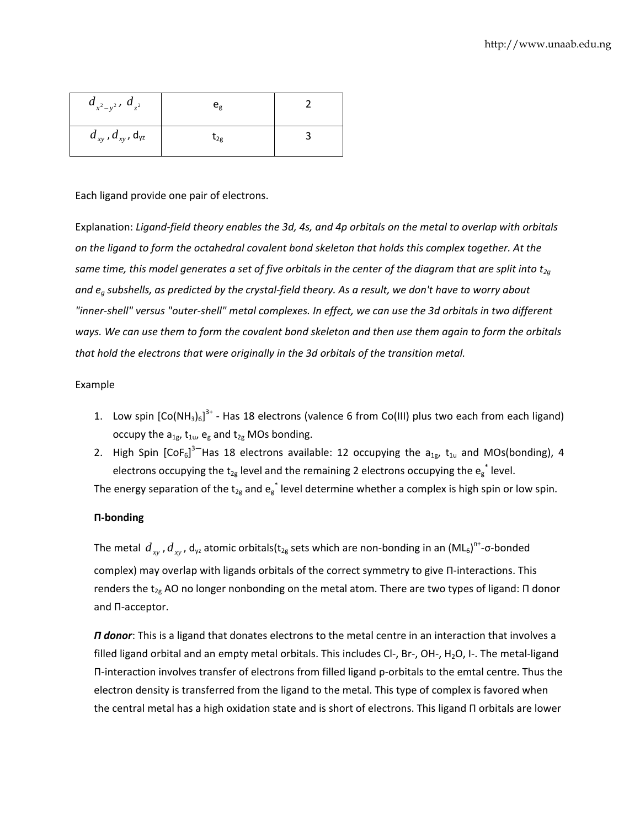| $d_{x^2-y^2}$ , $d_{z^2}$      | $e_{g}$  |  |
|--------------------------------|----------|--|
| $d_{xy}$ , $d_{xy}$ , $d_{yz}$ | $t_{2g}$ |  |

### Each ligand provide one pair of electrons.

Explanation: Ligand-field theory enables the 3d, 4s, and 4p orbitals on the metal to overlap with orbitals *on the ligand to form the octahedral covalent bond skeleton that holds this complex together. At the* same time, this model generates a set of five orbitals in the center of the diagram that are split into  $t_{2q}$ and  $e_q$  subshells, as predicted by the crystal-field theory. As a result, we don't have to worry about "inner-shell" versus "outer-shell" metal complexes. In effect, we can use the 3d orbitals in two different ways. We can use them to form the covalent bond skeleton and then use them again to form the orbitals *that hold the electrons that were originally in the 3d orbitals of the transition metal.*

### Example

- 1. Low spin  $[Co(NH_3)_6]^{3+}$  Has 18 electrons (valence 6 from Co(III) plus two each from each ligand) occupy the  $a_{1g}$ ,  $t_{1u}$ ,  $e_g$  and  $t_{2g}$  MOs bonding.
- 2. High Spin  $[CoF_6]^{3-}$ Has 18 electrons available: 12 occupying the  $a_{1g}$ ,  $t_{1u}$  and MOs(bonding), 4 electrons occupying the t<sub>2g</sub> level and the remaining 2 electrons occupying the  $e_g^*$  level.

The energy separation of the t<sub>2g</sub> and  $e_g^*$  level determine whether a complex is high spin or low spin.

### **Π‐bonding**

The metal  $d_{xy}$  ,  $d_{xy}$  , d<sub>yz</sub> atomic orbitals(t<sub>2g</sub> sets which are non-bonding in an (ML<sub>6</sub>)<sup>n+</sup>-σ-bonded complex) may overlap with ligands orbitals of the correct symmetry to give Π-interactions. This renders the t<sub>2g</sub> AO no longer nonbonding on the metal atom. There are two types of ligand: Π donor and Π‐acceptor.

*Π donor*: This is a ligand that donates electrons to the metal centre in an interaction that involves a filled ligand orbital and an empty metal orbitals. This includes Cl-, Br-, OH-, H<sub>2</sub>O, I-. The metal-ligand Π‐interaction involves transfer of electrons from filled ligand p‐orbitals to the emtal centre. Thus the electron density is transferred from the ligand to the metal. This type of complex is favored when the central metal has a high oxidation state and is short of electrons. This ligand Π orbitals are lower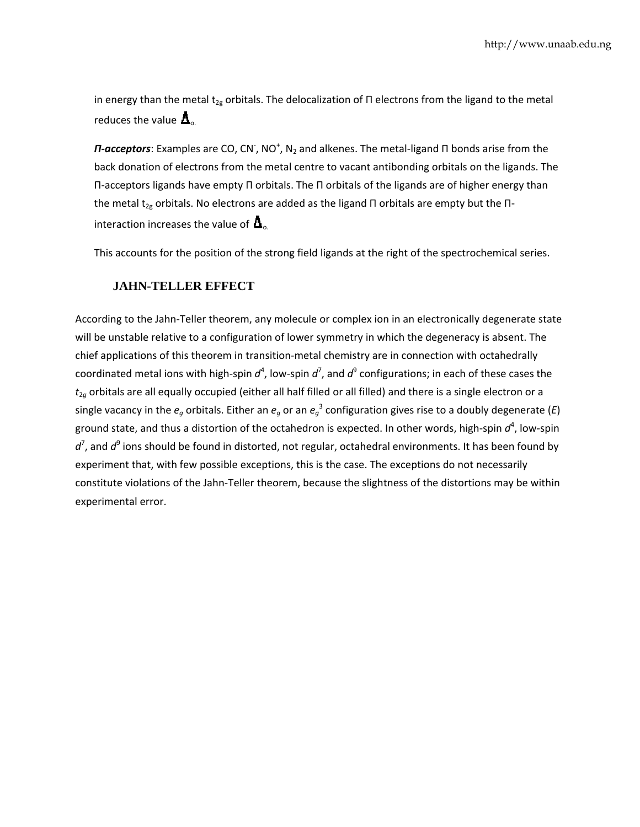in energy than the metal t<sub>2g</sub> orbitals. The delocalization of Π electrons from the ligand to the metal reduces the value  $\Delta_{\scriptscriptstyle\rm o.}$ 

*Π-acceptors*: Examples are CO, CN<sup>-</sup>, NO<sup>+</sup>, N<sub>2</sub> and alkenes. The metal-ligand Π bonds arise from the back donation of electrons from the metal centre to vacant antibonding orbitals on the ligands. The Π-acceptors ligands have empty Π orbitals. The Π orbitals of the ligands are of higher energy than the metal t<sub>2g</sub> orbitals. No electrons are added as the ligand Π orbitals are empty but the Πinteraction increases the value of  $\Delta_{\circ}$ 

This accounts for the position of the strong field ligands at the right of the spectrochemical series.

## **JAHN-TELLER EFFECT**

According to the Jahn-Teller theorem, any molecule or complex ion in an electronically degenerate state will be unstable relative to a configuration of lower symmetry in which the degeneracy is absent. The chief applications of this theorem in transition-metal chemistry are in connection with octahedrally coordinated metal ions with high-spin  $d^4$ , low-spin  $d^7$ , and  $d^9$  configurations; in each of these cases the  $t_{2g}$  orbitals are all equally occupied (either all half filled or all filled) and there is a single electron or a single vacancy in the  $e_g$  orbitals. Either an  $e_g$  or an  $e_g^{-3}$  configuration gives rise to a doubly degenerate (*E*) ground state, and thus a distortion of the octahedron is expected. In other words, high-spin  $d^4$ , low-spin  $d^7$ , and  $d^9$  ions should be found in distorted, not regular, octahedral environments. It has been found by experiment that, with few possible exceptions, this is the case. The exceptions do not necessarily constitute violations of the Jahn-Teller theorem, because the slightness of the distortions may be within experime ntal error.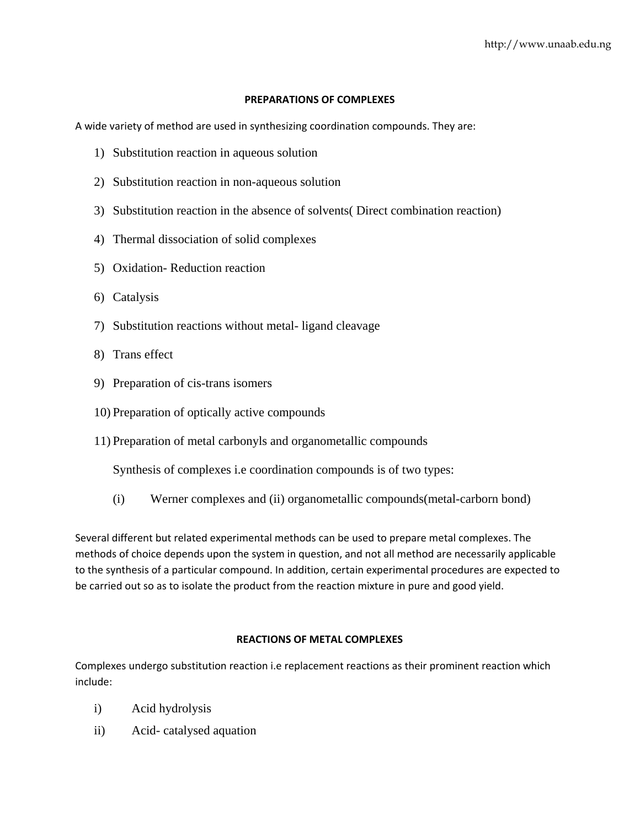### **PREPARATIONS OF COMPLEXES**

A wide variety of method are used in synthesizing coordination compounds. They are:

- 1) Substitution reaction in aqueous solution
- 2) Substitution reaction in non-aqueous solution
- 3) Substitution reaction in the absence of solvents( Direct combination reaction)
- 4) Thermal dissociation of solid complexes
- 5) Oxidation- Reduction reaction
- 6) Catalysis
- 7) Substitution reactions without metal- ligand cleavage
- 8) Trans effect
- 9) Preparation of cis-trans isomers
- 10) Preparation of optically active compounds
- 11) Preparation of metal carbonyls and organometallic compounds

Synthesis of complexes i.e coordination compounds is of two types:

(i) Werner complexes and (ii) organometallic compounds(metal-carborn bond)

Several different but related experimental methods can be used to prepare metal complexes. The methods of choice depends upon the system in question, and not all method are necessarily applicable to the synthesis of a particular compound. In addition, certain experimental procedures are expected to be carried out so as to isolate the product from the reaction mixture in pure and good yield.

### **REACTIONS OF METAL COMPLEXES**

Complexes undergo substitution reaction i.e replacement reactions as their prominent reaction which include:

- i) Acid hydrolysis
- ii) Acid- catalysed aquation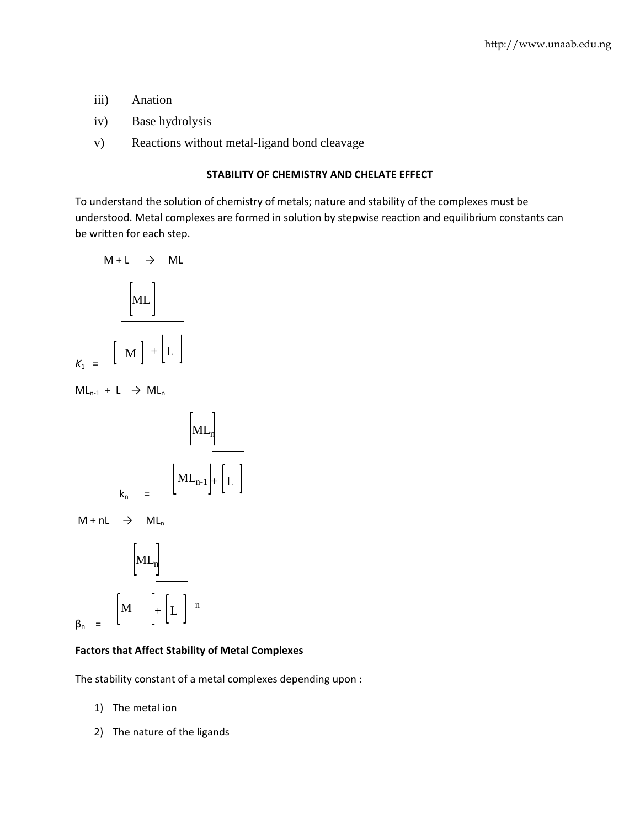- iii) Anation
- iv) Base hydrolysis
- v) Reactions without metal-ligand bond cleavage

# **STABILITY OF CHEMISTRY AND CHELATE EFFECT**

To understand the solution of chemistry of metals; nature and stability of the complexes must be understood. Metal complexes are formed in solution by stepwise reaction and equilibrium constants can be written for each step.

$$
M + L \rightarrow ML
$$
\n
$$
\boxed{ML}
$$
\n
$$
K_1 = \boxed{M} + \boxed{L}
$$

 $ML_{n-1} + L \rightarrow ML_n$ 

$$
k_n = \left[ ML_n \right]
$$
  

$$
k_n = \left[ ML_{n-1} \right] + \left[ L \right]
$$

 $M + nL \rightarrow ML_n$ 

$$
\begin{bmatrix} \text{ML}_n \\ \text{ML}_n \end{bmatrix}
$$
  

$$
\beta_n = \begin{bmatrix} M \\ \text{ML}_n \end{bmatrix} + \begin{bmatrix} L \\ \text{LL} \end{bmatrix}^{n}
$$

### **Factors that Affect Stability of Metal Complexes**

The stability constant of a metal complexes depending upon :

- 1) The metal ion
- 2) The nature of the ligands